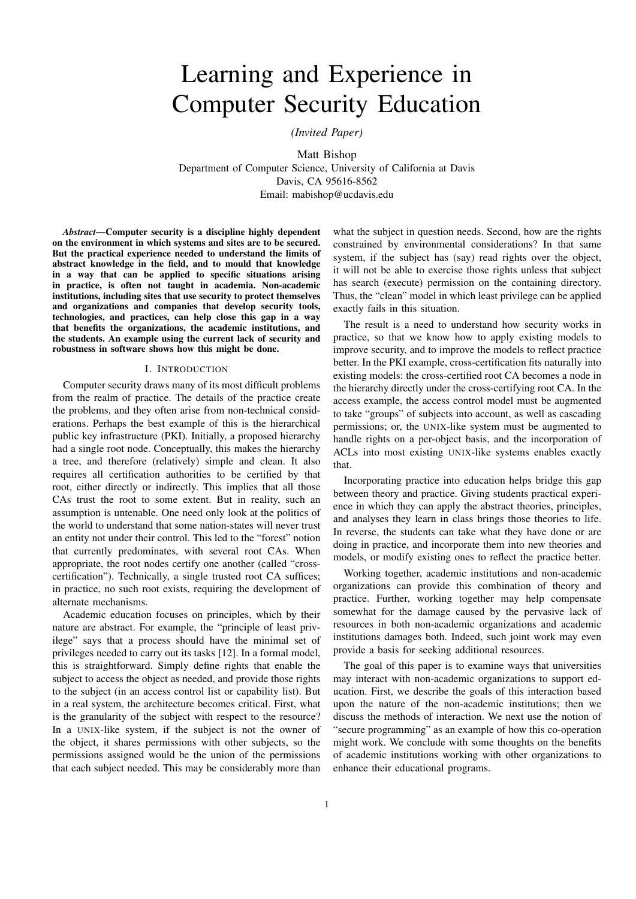# Learning and Experience in Computer Security Education

*(Invited Paper)*

Matt Bishop Department of Computer Science, University of California at Davis Davis, CA 95616-8562 Email: mabishop@ucdavis.edu

*Abstract*—Computer security is a discipline highly dependent on the environment in which systems and sites are to be secured. But the practical experience needed to understand the limits of abstract knowledge in the field, and to mould that knowledge in a way that can be applied to specific situations arising in practice, is often not taught in academia. Non-academic institutions, including sites that use security to protect themselves and organizations and companies that develop security tools, technologies, and practices, can help close this gap in a way that benefits the organizations, the academic institutions, and the students. An example using the current lack of security and robustness in software shows how this might be done.

# I. INTRODUCTION

Computer security draws many of its most difficult problems from the realm of practice. The details of the practice create the problems, and they often arise from non-technical considerations. Perhaps the best example of this is the hierarchical public key infrastructure (PKI). Initially, a proposed hierarchy had a single root node. Conceptually, this makes the hierarchy a tree, and therefore (relatively) simple and clean. It also requires all certification authorities to be certified by that root, either directly or indirectly. This implies that all those CAs trust the root to some extent. But in reality, such an assumption is untenable. One need only look at the politics of the world to understand that some nation-states will never trust an entity not under their control. This led to the "forest" notion that currently predominates, with several root CAs. When appropriate, the root nodes certify one another (called "crosscertification"). Technically, a single trusted root CA suffices; in practice, no such root exists, requiring the development of alternate mechanisms.

Academic education focuses on principles, which by their nature are abstract. For example, the "principle of least privilege" says that a process should have the minimal set of privileges needed to carry out its tasks [12]. In a formal model, this is straightforward. Simply define rights that enable the subject to access the object as needed, and provide those rights to the subject (in an access control list or capability list). But in a real system, the architecture becomes critical. First, what is the granularity of the subject with respect to the resource? In a UNIX-like system, if the subject is not the owner of the object, it shares permissions with other subjects, so the permissions assigned would be the union of the permissions that each subject needed. This may be considerably more than

what the subject in question needs. Second, how are the rights constrained by environmental considerations? In that same system, if the subject has (say) read rights over the object, it will not be able to exercise those rights unless that subject has search (execute) permission on the containing directory. Thus, the "clean" model in which least privilege can be applied exactly fails in this situation.

The result is a need to understand how security works in practice, so that we know how to apply existing models to improve security, and to improve the models to reflect practice better. In the PKI example, cross-certification fits naturally into existing models: the cross-certified root CA becomes a node in the hierarchy directly under the cross-certifying root CA. In the access example, the access control model must be augmented to take "groups" of subjects into account, as well as cascading permissions; or, the UNIX-like system must be augmented to handle rights on a per-object basis, and the incorporation of ACLs into most existing UNIX-like systems enables exactly that.

Incorporating practice into education helps bridge this gap between theory and practice. Giving students practical experience in which they can apply the abstract theories, principles, and analyses they learn in class brings those theories to life. In reverse, the students can take what they have done or are doing in practice, and incorporate them into new theories and models, or modify existing ones to reflect the practice better.

Working together, academic institutions and non-academic organizations can provide this combination of theory and practice. Further, working together may help compensate somewhat for the damage caused by the pervasive lack of resources in both non-academic organizations and academic institutions damages both. Indeed, such joint work may even provide a basis for seeking additional resources.

The goal of this paper is to examine ways that universities may interact with non-academic organizations to support education. First, we describe the goals of this interaction based upon the nature of the non-academic institutions; then we discuss the methods of interaction. We next use the notion of "secure programming" as an example of how this co-operation might work. We conclude with some thoughts on the benefits of academic institutions working with other organizations to enhance their educational programs.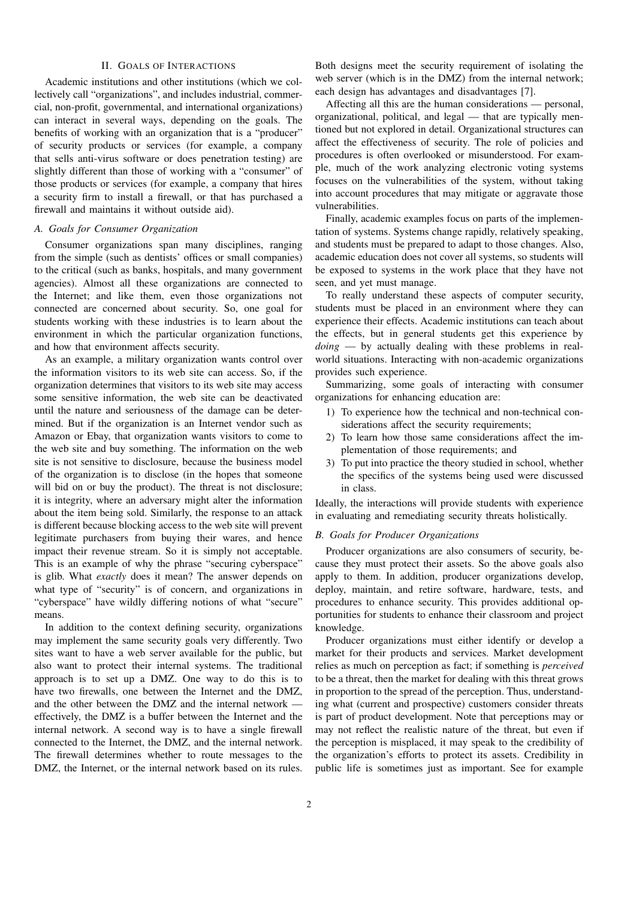# II. GOALS OF INTERACTIONS

Academic institutions and other institutions (which we collectively call "organizations", and includes industrial, commercial, non-profit, governmental, and international organizations) can interact in several ways, depending on the goals. The benefits of working with an organization that is a "producer" of security products or services (for example, a company that sells anti-virus software or does penetration testing) are slightly different than those of working with a "consumer" of those products or services (for example, a company that hires a security firm to install a firewall, or that has purchased a firewall and maintains it without outside aid).

# *A. Goals for Consumer Organization*

Consumer organizations span many disciplines, ranging from the simple (such as dentists' offices or small companies) to the critical (such as banks, hospitals, and many government agencies). Almost all these organizations are connected to the Internet; and like them, even those organizations not connected are concerned about security. So, one goal for students working with these industries is to learn about the environment in which the particular organization functions, and how that environment affects security.

As an example, a military organization wants control over the information visitors to its web site can access. So, if the organization determines that visitors to its web site may access some sensitive information, the web site can be deactivated until the nature and seriousness of the damage can be determined. But if the organization is an Internet vendor such as Amazon or Ebay, that organization wants visitors to come to the web site and buy something. The information on the web site is not sensitive to disclosure, because the business model of the organization is to disclose (in the hopes that someone will bid on or buy the product). The threat is not disclosure; it is integrity, where an adversary might alter the information about the item being sold. Similarly, the response to an attack is different because blocking access to the web site will prevent legitimate purchasers from buying their wares, and hence impact their revenue stream. So it is simply not acceptable. This is an example of why the phrase "securing cyberspace" is glib. What *exactly* does it mean? The answer depends on what type of "security" is of concern, and organizations in "cyberspace" have wildly differing notions of what "secure" means.

In addition to the context defining security, organizations may implement the same security goals very differently. Two sites want to have a web server available for the public, but also want to protect their internal systems. The traditional approach is to set up a DMZ. One way to do this is to have two firewalls, one between the Internet and the DMZ, and the other between the DMZ and the internal network effectively, the DMZ is a buffer between the Internet and the internal network. A second way is to have a single firewall connected to the Internet, the DMZ, and the internal network. The firewall determines whether to route messages to the DMZ, the Internet, or the internal network based on its rules.

Both designs meet the security requirement of isolating the web server (which is in the DMZ) from the internal network; each design has advantages and disadvantages [7].

Affecting all this are the human considerations — personal, organizational, political, and legal — that are typically mentioned but not explored in detail. Organizational structures can affect the effectiveness of security. The role of policies and procedures is often overlooked or misunderstood. For example, much of the work analyzing electronic voting systems focuses on the vulnerabilities of the system, without taking into account procedures that may mitigate or aggravate those vulnerabilities.

Finally, academic examples focus on parts of the implementation of systems. Systems change rapidly, relatively speaking, and students must be prepared to adapt to those changes. Also, academic education does not cover all systems, so students will be exposed to systems in the work place that they have not seen, and yet must manage.

To really understand these aspects of computer security, students must be placed in an environment where they can experience their effects. Academic institutions can teach about the effects, but in general students get this experience by *doing* — by actually dealing with these problems in realworld situations. Interacting with non-academic organizations provides such experience.

Summarizing, some goals of interacting with consumer organizations for enhancing education are:

- 1) To experience how the technical and non-technical considerations affect the security requirements;
- 2) To learn how those same considerations affect the implementation of those requirements; and
- 3) To put into practice the theory studied in school, whether the specifics of the systems being used were discussed in class.

Ideally, the interactions will provide students with experience in evaluating and remediating security threats holistically.

#### *B. Goals for Producer Organizations*

Producer organizations are also consumers of security, because they must protect their assets. So the above goals also apply to them. In addition, producer organizations develop, deploy, maintain, and retire software, hardware, tests, and procedures to enhance security. This provides additional opportunities for students to enhance their classroom and project knowledge.

Producer organizations must either identify or develop a market for their products and services. Market development relies as much on perception as fact; if something is *perceived* to be a threat, then the market for dealing with this threat grows in proportion to the spread of the perception. Thus, understanding what (current and prospective) customers consider threats is part of product development. Note that perceptions may or may not reflect the realistic nature of the threat, but even if the perception is misplaced, it may speak to the credibility of the organization's efforts to protect its assets. Credibility in public life is sometimes just as important. See for example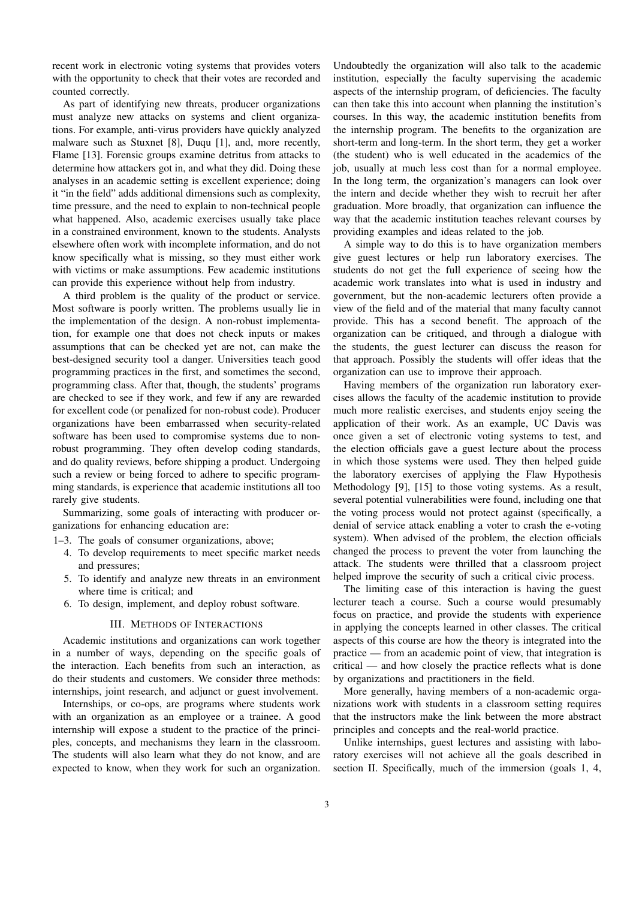recent work in electronic voting systems that provides voters with the opportunity to check that their votes are recorded and counted correctly.

As part of identifying new threats, producer organizations must analyze new attacks on systems and client organizations. For example, anti-virus providers have quickly analyzed malware such as Stuxnet [8], Duqu [1], and, more recently, Flame [13]. Forensic groups examine detritus from attacks to determine how attackers got in, and what they did. Doing these analyses in an academic setting is excellent experience; doing it "in the field" adds additional dimensions such as complexity, time pressure, and the need to explain to non-technical people what happened. Also, academic exercises usually take place in a constrained environment, known to the students. Analysts elsewhere often work with incomplete information, and do not know specifically what is missing, so they must either work with victims or make assumptions. Few academic institutions can provide this experience without help from industry.

A third problem is the quality of the product or service. Most software is poorly written. The problems usually lie in the implementation of the design. A non-robust implementation, for example one that does not check inputs or makes assumptions that can be checked yet are not, can make the best-designed security tool a danger. Universities teach good programming practices in the first, and sometimes the second, programming class. After that, though, the students' programs are checked to see if they work, and few if any are rewarded for excellent code (or penalized for non-robust code). Producer organizations have been embarrassed when security-related software has been used to compromise systems due to nonrobust programming. They often develop coding standards, and do quality reviews, before shipping a product. Undergoing such a review or being forced to adhere to specific programming standards, is experience that academic institutions all too rarely give students.

Summarizing, some goals of interacting with producer organizations for enhancing education are:

- 1–3. The goals of consumer organizations, above;
	- 4. To develop requirements to meet specific market needs and pressures;
	- 5. To identify and analyze new threats in an environment where time is critical; and
	- 6. To design, implement, and deploy robust software.

#### III. METHODS OF INTERACTIONS

Academic institutions and organizations can work together in a number of ways, depending on the specific goals of the interaction. Each benefits from such an interaction, as do their students and customers. We consider three methods: internships, joint research, and adjunct or guest involvement.

Internships, or co-ops, are programs where students work with an organization as an employee or a trainee. A good internship will expose a student to the practice of the principles, concepts, and mechanisms they learn in the classroom. The students will also learn what they do not know, and are expected to know, when they work for such an organization.

Undoubtedly the organization will also talk to the academic institution, especially the faculty supervising the academic aspects of the internship program, of deficiencies. The faculty can then take this into account when planning the institution's courses. In this way, the academic institution benefits from the internship program. The benefits to the organization are short-term and long-term. In the short term, they get a worker (the student) who is well educated in the academics of the job, usually at much less cost than for a normal employee. In the long term, the organization's managers can look over the intern and decide whether they wish to recruit her after graduation. More broadly, that organization can influence the way that the academic institution teaches relevant courses by providing examples and ideas related to the job.

A simple way to do this is to have organization members give guest lectures or help run laboratory exercises. The students do not get the full experience of seeing how the academic work translates into what is used in industry and government, but the non-academic lecturers often provide a view of the field and of the material that many faculty cannot provide. This has a second benefit. The approach of the organization can be critiqued, and through a dialogue with the students, the guest lecturer can discuss the reason for that approach. Possibly the students will offer ideas that the organization can use to improve their approach.

Having members of the organization run laboratory exercises allows the faculty of the academic institution to provide much more realistic exercises, and students enjoy seeing the application of their work. As an example, UC Davis was once given a set of electronic voting systems to test, and the election officials gave a guest lecture about the process in which those systems were used. They then helped guide the laboratory exercises of applying the Flaw Hypothesis Methodology [9], [15] to those voting systems. As a result, several potential vulnerabilities were found, including one that the voting process would not protect against (specifically, a denial of service attack enabling a voter to crash the e-voting system). When advised of the problem, the election officials changed the process to prevent the voter from launching the attack. The students were thrilled that a classroom project helped improve the security of such a critical civic process.

The limiting case of this interaction is having the guest lecturer teach a course. Such a course would presumably focus on practice, and provide the students with experience in applying the concepts learned in other classes. The critical aspects of this course are how the theory is integrated into the practice — from an academic point of view, that integration is critical — and how closely the practice reflects what is done by organizations and practitioners in the field.

More generally, having members of a non-academic organizations work with students in a classroom setting requires that the instructors make the link between the more abstract principles and concepts and the real-world practice.

Unlike internships, guest lectures and assisting with laboratory exercises will not achieve all the goals described in section II. Specifically, much of the immersion (goals 1, 4,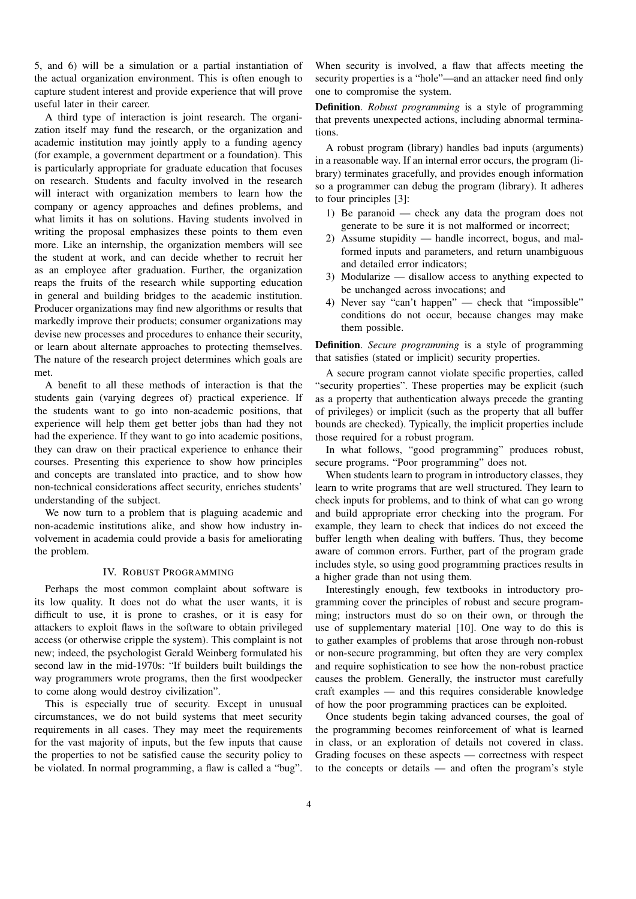5, and 6) will be a simulation or a partial instantiation of the actual organization environment. This is often enough to capture student interest and provide experience that will prove useful later in their career.

A third type of interaction is joint research. The organization itself may fund the research, or the organization and academic institution may jointly apply to a funding agency (for example, a government department or a foundation). This is particularly appropriate for graduate education that focuses on research. Students and faculty involved in the research will interact with organization members to learn how the company or agency approaches and defines problems, and what limits it has on solutions. Having students involved in writing the proposal emphasizes these points to them even more. Like an internship, the organization members will see the student at work, and can decide whether to recruit her as an employee after graduation. Further, the organization reaps the fruits of the research while supporting education in general and building bridges to the academic institution. Producer organizations may find new algorithms or results that markedly improve their products; consumer organizations may devise new processes and procedures to enhance their security, or learn about alternate approaches to protecting themselves. The nature of the research project determines which goals are met.

A benefit to all these methods of interaction is that the students gain (varying degrees of) practical experience. If the students want to go into non-academic positions, that experience will help them get better jobs than had they not had the experience. If they want to go into academic positions, they can draw on their practical experience to enhance their courses. Presenting this experience to show how principles and concepts are translated into practice, and to show how non-technical considerations affect security, enriches students' understanding of the subject.

We now turn to a problem that is plaguing academic and non-academic institutions alike, and show how industry involvement in academia could provide a basis for ameliorating the problem.

#### IV. ROBUST PROGRAMMING

Perhaps the most common complaint about software is its low quality. It does not do what the user wants, it is difficult to use, it is prone to crashes, or it is easy for attackers to exploit flaws in the software to obtain privileged access (or otherwise cripple the system). This complaint is not new; indeed, the psychologist Gerald Weinberg formulated his second law in the mid-1970s: "If builders built buildings the way programmers wrote programs, then the first woodpecker to come along would destroy civilization".

This is especially true of security. Except in unusual circumstances, we do not build systems that meet security requirements in all cases. They may meet the requirements for the vast majority of inputs, but the few inputs that cause the properties to not be satisfied cause the security policy to be violated. In normal programming, a flaw is called a "bug". When security is involved, a flaw that affects meeting the security properties is a "hole"—and an attacker need find only one to compromise the system.

Definition. *Robust programming* is a style of programming that prevents unexpected actions, including abnormal terminations.

A robust program (library) handles bad inputs (arguments) in a reasonable way. If an internal error occurs, the program (library) terminates gracefully, and provides enough information so a programmer can debug the program (library). It adheres to four principles [3]:

- 1) Be paranoid check any data the program does not generate to be sure it is not malformed or incorrect;
- 2) Assume stupidity handle incorrect, bogus, and malformed inputs and parameters, and return unambiguous and detailed error indicators;
- 3) Modularize disallow access to anything expected to be unchanged across invocations; and
- 4) Never say "can't happen" check that "impossible" conditions do not occur, because changes may make them possible.

Definition. *Secure programming* is a style of programming that satisfies (stated or implicit) security properties.

A secure program cannot violate specific properties, called "security properties". These properties may be explicit (such as a property that authentication always precede the granting of privileges) or implicit (such as the property that all buffer bounds are checked). Typically, the implicit properties include those required for a robust program.

In what follows, "good programming" produces robust, secure programs. "Poor programming" does not.

When students learn to program in introductory classes, they learn to write programs that are well structured. They learn to check inputs for problems, and to think of what can go wrong and build appropriate error checking into the program. For example, they learn to check that indices do not exceed the buffer length when dealing with buffers. Thus, they become aware of common errors. Further, part of the program grade includes style, so using good programming practices results in a higher grade than not using them.

Interestingly enough, few textbooks in introductory programming cover the principles of robust and secure programming; instructors must do so on their own, or through the use of supplementary material [10]. One way to do this is to gather examples of problems that arose through non-robust or non-secure programming, but often they are very complex and require sophistication to see how the non-robust practice causes the problem. Generally, the instructor must carefully craft examples — and this requires considerable knowledge of how the poor programming practices can be exploited.

Once students begin taking advanced courses, the goal of the programming becomes reinforcement of what is learned in class, or an exploration of details not covered in class. Grading focuses on these aspects — correctness with respect to the concepts or details — and often the program's style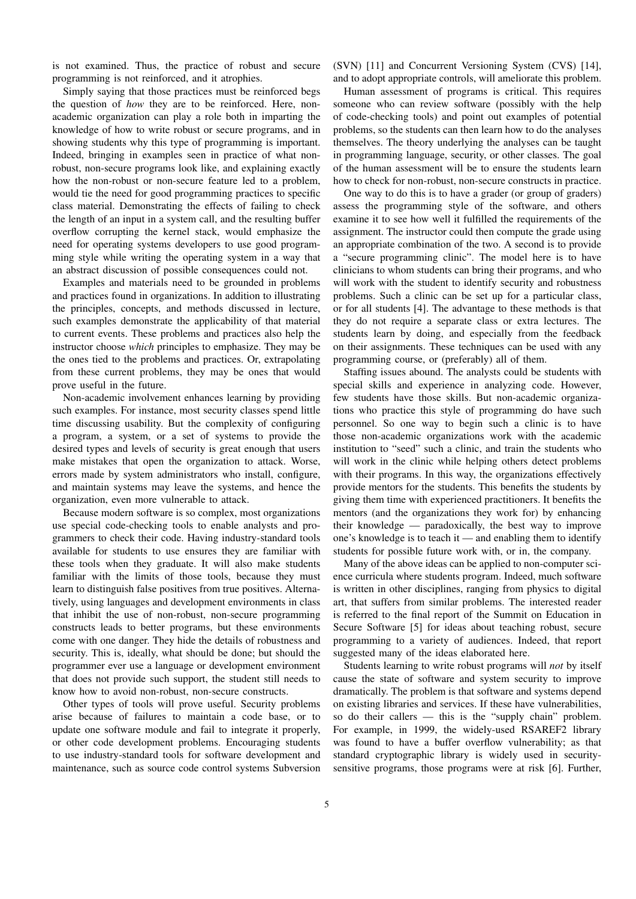is not examined. Thus, the practice of robust and secure programming is not reinforced, and it atrophies.

Simply saying that those practices must be reinforced begs the question of *how* they are to be reinforced. Here, nonacademic organization can play a role both in imparting the knowledge of how to write robust or secure programs, and in showing students why this type of programming is important. Indeed, bringing in examples seen in practice of what nonrobust, non-secure programs look like, and explaining exactly how the non-robust or non-secure feature led to a problem, would tie the need for good programming practices to specific class material. Demonstrating the effects of failing to check the length of an input in a system call, and the resulting buffer overflow corrupting the kernel stack, would emphasize the need for operating systems developers to use good programming style while writing the operating system in a way that an abstract discussion of possible consequences could not.

Examples and materials need to be grounded in problems and practices found in organizations. In addition to illustrating the principles, concepts, and methods discussed in lecture, such examples demonstrate the applicability of that material to current events. These problems and practices also help the instructor choose *which* principles to emphasize. They may be the ones tied to the problems and practices. Or, extrapolating from these current problems, they may be ones that would prove useful in the future.

Non-academic involvement enhances learning by providing such examples. For instance, most security classes spend little time discussing usability. But the complexity of configuring a program, a system, or a set of systems to provide the desired types and levels of security is great enough that users make mistakes that open the organization to attack. Worse, errors made by system administrators who install, configure, and maintain systems may leave the systems, and hence the organization, even more vulnerable to attack.

Because modern software is so complex, most organizations use special code-checking tools to enable analysts and programmers to check their code. Having industry-standard tools available for students to use ensures they are familiar with these tools when they graduate. It will also make students familiar with the limits of those tools, because they must learn to distinguish false positives from true positives. Alternatively, using languages and development environments in class that inhibit the use of non-robust, non-secure programming constructs leads to better programs, but these environments come with one danger. They hide the details of robustness and security. This is, ideally, what should be done; but should the programmer ever use a language or development environment that does not provide such support, the student still needs to know how to avoid non-robust, non-secure constructs.

Other types of tools will prove useful. Security problems arise because of failures to maintain a code base, or to update one software module and fail to integrate it properly, or other code development problems. Encouraging students to use industry-standard tools for software development and maintenance, such as source code control systems Subversion

(SVN) [11] and Concurrent Versioning System (CVS) [14], and to adopt appropriate controls, will ameliorate this problem.

Human assessment of programs is critical. This requires someone who can review software (possibly with the help of code-checking tools) and point out examples of potential problems, so the students can then learn how to do the analyses themselves. The theory underlying the analyses can be taught in programming language, security, or other classes. The goal of the human assessment will be to ensure the students learn how to check for non-robust, non-secure constructs in practice.

One way to do this is to have a grader (or group of graders) assess the programming style of the software, and others examine it to see how well it fulfilled the requirements of the assignment. The instructor could then compute the grade using an appropriate combination of the two. A second is to provide a "secure programming clinic". The model here is to have clinicians to whom students can bring their programs, and who will work with the student to identify security and robustness problems. Such a clinic can be set up for a particular class, or for all students [4]. The advantage to these methods is that they do not require a separate class or extra lectures. The students learn by doing, and especially from the feedback on their assignments. These techniques can be used with any programming course, or (preferably) all of them.

Staffing issues abound. The analysts could be students with special skills and experience in analyzing code. However, few students have those skills. But non-academic organizations who practice this style of programming do have such personnel. So one way to begin such a clinic is to have those non-academic organizations work with the academic institution to "seed" such a clinic, and train the students who will work in the clinic while helping others detect problems with their programs. In this way, the organizations effectively provide mentors for the students. This benefits the students by giving them time with experienced practitioners. It benefits the mentors (and the organizations they work for) by enhancing their knowledge — paradoxically, the best way to improve one's knowledge is to teach it — and enabling them to identify students for possible future work with, or in, the company.

Many of the above ideas can be applied to non-computer science curricula where students program. Indeed, much software is written in other disciplines, ranging from physics to digital art, that suffers from similar problems. The interested reader is referred to the final report of the Summit on Education in Secure Software [5] for ideas about teaching robust, secure programming to a variety of audiences. Indeed, that report suggested many of the ideas elaborated here.

Students learning to write robust programs will *not* by itself cause the state of software and system security to improve dramatically. The problem is that software and systems depend on existing libraries and services. If these have vulnerabilities, so do their callers — this is the "supply chain" problem. For example, in 1999, the widely-used RSAREF2 library was found to have a buffer overflow vulnerability; as that standard cryptographic library is widely used in securitysensitive programs, those programs were at risk [6]. Further,